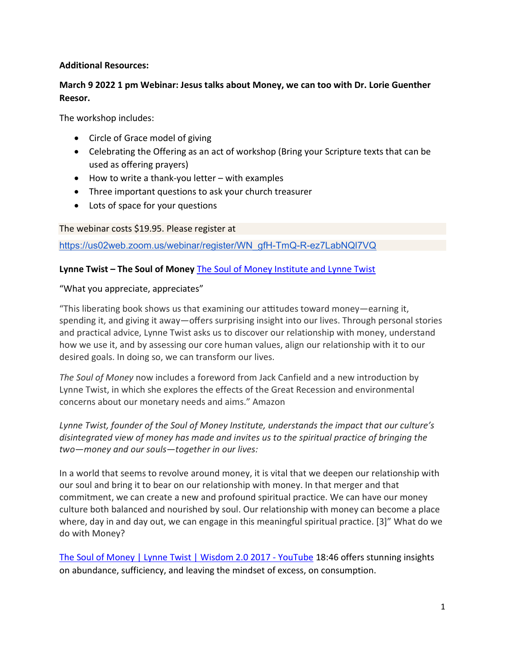## Additional Resources:

# March 9 2022 1 pm Webinar: Jesus talks about Money, we can too with Dr. Lorie Guenther Reesor.

The workshop includes:

- Circle of Grace model of giving
- Celebrating the Offering as an act of workshop (Bring your Scripture texts that can be used as offering prayers)
- How to write a thank-you letter with examples
- Three important questions to ask your church treasurer
- Lots of space for your questions

The webinar costs \$19.95. Please register at

https://us02web.zoom.us/webinar/register/WN\_gfH-TmQ-R-ez7LabNQl7VQ

## Lynne Twist – The Soul of Money The Soul of Money Institute and Lynne Twist

#### "What you appreciate, appreciates"

"This liberating book shows us that examining our aƫtudes toward money―earning it, spending it, and giving it away―offers surprising insight into our lives. Through personal stories and practical advice, Lynne Twist asks us to discover our relationship with money, understand how we use it, and by assessing our core human values, align our relationship with it to our desired goals. In doing so, we can transform our lives.

The Soul of Money now includes a foreword from Jack Canfield and a new introduction by Lynne Twist, in which she explores the effects of the Great Recession and environmental concerns about our monetary needs and aims." Amazon

Lynne Twist, founder of the Soul of Money Institute, understands the impact that our culture's disintegrated view of money has made and invites us to the spiritual practice of bringing the two—money and our souls—together in our lives:

In a world that seems to revolve around money, it is vital that we deepen our relationship with our soul and bring it to bear on our relationship with money. In that merger and that commitment, we can create a new and profound spiritual practice. We can have our money culture both balanced and nourished by soul. Our relationship with money can become a place where, day in and day out, we can engage in this meaningful spiritual practice. [3]" What do we do with Money?

The Soul of Money | Lynne Twist | Wisdom 2.0 2017 - YouTube 18:46 offers stunning insights on abundance, sufficiency, and leaving the mindset of excess, on consumption.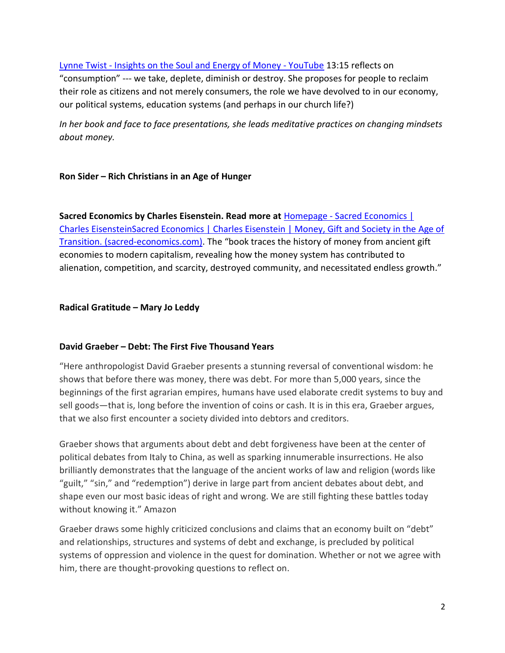Lynne Twist - Insights on the Soul and Energy of Money - YouTube 13:15 reflects on "consumption" --- we take, deplete, diminish or destroy. She proposes for people to reclaim their role as citizens and not merely consumers, the role we have devolved to in our economy, our political systems, education systems (and perhaps in our church life?)

In her book and face to face presentations, she leads meditative practices on changing mindsets about money.

## Ron Sider – Rich Christians in an Age of Hunger

Sacred Economics by Charles Eisenstein. Read more at Homepage - Sacred Economics | Charles EisensteinSacred Economics | Charles Eisenstein | Money, Gift and Society in the Age of Transition. (sacred-economics.com). The "book traces the history of money from ancient gift economies to modern capitalism, revealing how the money system has contributed to alienation, competition, and scarcity, destroyed community, and necessitated endless growth."

## Radical Gratitude – Mary Jo Leddy

#### David Graeber – Debt: The First Five Thousand Years

"Here anthropologist David Graeber presents a stunning reversal of conventional wisdom: he shows that before there was money, there was debt. For more than 5,000 years, since the beginnings of the first agrarian empires, humans have used elaborate credit systems to buy and sell goods—that is, long before the invention of coins or cash. It is in this era, Graeber argues, that we also first encounter a society divided into debtors and creditors.

Graeber shows that arguments about debt and debt forgiveness have been at the center of political debates from Italy to China, as well as sparking innumerable insurrections. He also brilliantly demonstrates that the language of the ancient works of law and religion (words like "guilt," "sin," and "redemption") derive in large part from ancient debates about debt, and shape even our most basic ideas of right and wrong. We are still fighting these battles today without knowing it." Amazon

Graeber draws some highly criticized conclusions and claims that an economy built on "debt" and relationships, structures and systems of debt and exchange, is precluded by political systems of oppression and violence in the quest for domination. Whether or not we agree with him, there are thought-provoking questions to reflect on.